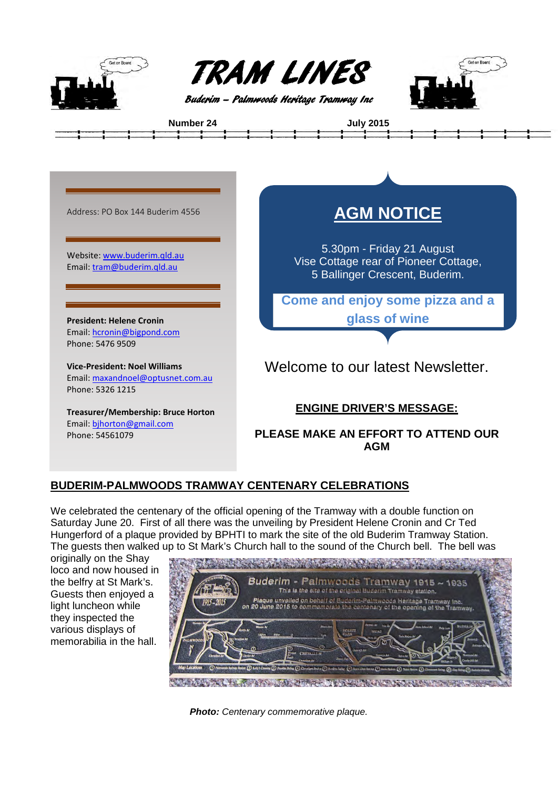



**Number 24 July 2015**





## **BUDERIM-PALMWOODS TRAMWAY CENTENARY CELEBRATIONS**

We celebrated the centenary of the official opening of the Tramway with a double function on Saturday June 20. First of all there was the unveiling by President Helene Cronin and Cr Ted Hungerford of a plaque provided by BPHTI to mark the site of the old Buderim Tramway Station. The guests then walked up to St Mark's Church hall to the sound of the Church bell. The bell was

originally on the Shay loco and now housed in the belfry at St Mark's. Guests then enjoyed a light luncheon while they inspected the various displays of memorabilia in the hall.



*Photo: Centenary commemorative plaque.*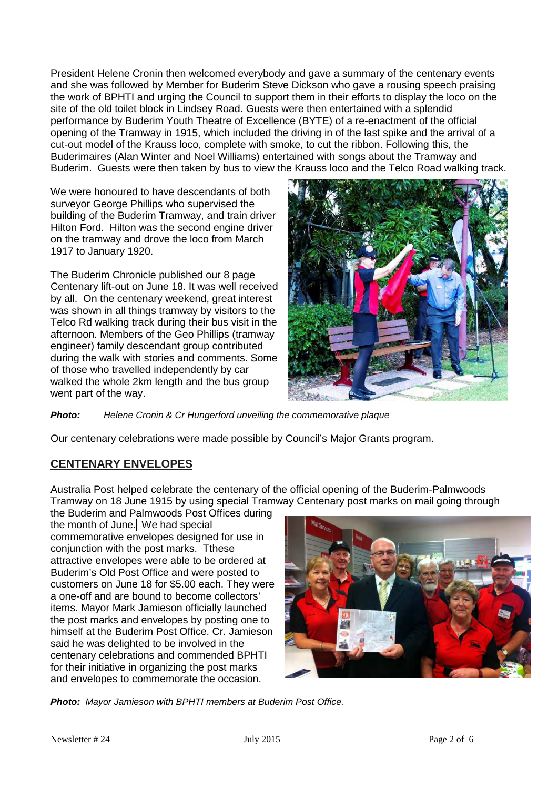President Helene Cronin then welcomed everybody and gave a summary of the centenary events and she was followed by Member for Buderim Steve Dickson who gave a rousing speech praising the work of BPHTI and urging the Council to support them in their efforts to display the loco on the site of the old toilet block in Lindsey Road. Guests were then entertained with a splendid performance by Buderim Youth Theatre of Excellence (BYTE) of a re-enactment of the official opening of the Tramway in 1915, which included the driving in of the last spike and the arrival of a cut-out model of the Krauss loco, complete with smoke, to cut the ribbon. Following this, the Buderimaires (Alan Winter and Noel Williams) entertained with songs about the Tramway and Buderim. Guests were then taken by bus to view the Krauss loco and the Telco Road walking track.

We were honoured to have descendants of both surveyor George Phillips who supervised the building of the Buderim Tramway, and train driver Hilton Ford. Hilton was the second engine driver on the tramway and drove the loco from March 1917 to January 1920.

The Buderim Chronicle published our 8 page Centenary lift-out on June 18. It was well received by all. On the centenary weekend, great interest was shown in all things tramway by visitors to the Telco Rd walking track during their bus visit in the afternoon. Members of the Geo Phillips (tramway engineer) family descendant group contributed during the walk with stories and comments. Some of those who travelled independently by car walked the whole 2km length and the bus group went part of the way.



*Photo: Helene Cronin & Cr Hungerford unveiling the commemorative plaque*

Our centenary celebrations were made possible by Council's Major Grants program.

## **CENTENARY ENVELOPES**

Australia Post helped celebrate the centenary of the official opening of the Buderim-Palmwoods Tramway on 18 June 1915 by using special Tramway Centenary post marks on mail going through

the Buderim and Palmwoods Post Offices during the month of June. We had special commemorative envelopes designed for use in conjunction with the post marks. Tthese attractive envelopes were able to be ordered at Buderim's Old Post Office and were posted to customers on June 18 for \$5.00 each. They were a one-off and are bound to become collectors' items. Mayor Mark Jamieson officially launched the post marks and envelopes by posting one to himself at the Buderim Post Office. Cr. Jamieson said he was delighted to be involved in the centenary celebrations and commended BPHTI for their initiative in organizing the post marks and envelopes to commemorate the occasion.



*Photo: Mayor Jamieson with BPHTI members at Buderim Post Office.*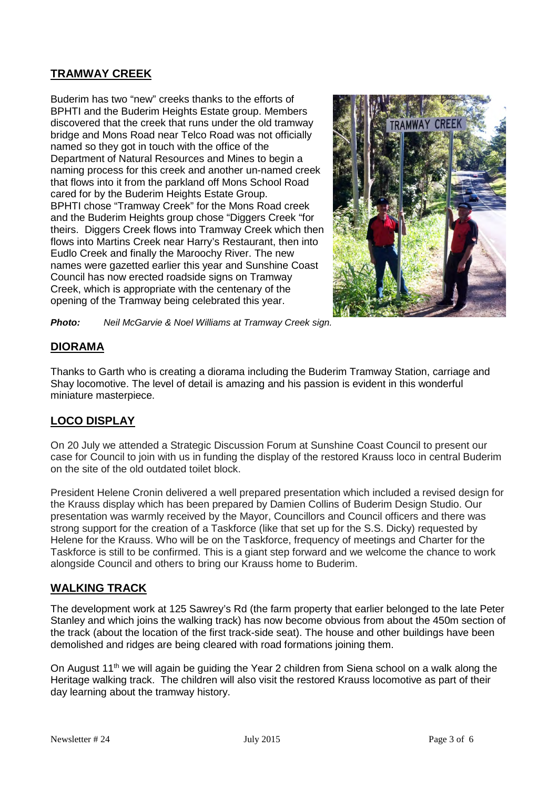## **TRAMWAY CREEK**

Buderim has two "new" creeks thanks to the efforts of BPHTI and the Buderim Heights Estate group. Members discovered that the creek that runs under the old tramway bridge and Mons Road near Telco Road was not officially named so they got in touch with the office of the Department of Natural Resources and Mines to begin a naming process for this creek and another un-named creek that flows into it from the parkland off Mons School Road cared for by the Buderim Heights Estate Group. BPHTI chose "Tramway Creek" for the Mons Road creek and the Buderim Heights group chose "Diggers Creek "for theirs. Diggers Creek flows into Tramway Creek which then flows into Martins Creek near Harry's Restaurant, then into Eudlo Creek and finally the Maroochy River. The new names were gazetted earlier this year and Sunshine Coast Council has now erected roadside signs on Tramway Creek, which is appropriate with the centenary of the opening of the Tramway being celebrated this year.



*Photo: Neil McGarvie & Noel Williams at Tramway Creek sign.*

### **DIORAMA**

Thanks to Garth who is creating a diorama including the Buderim Tramway Station, carriage and Shay locomotive. The level of detail is amazing and his passion is evident in this wonderful miniature masterpiece.

# **LOCO DISPLAY**

On 20 July we attended a Strategic Discussion Forum at Sunshine Coast Council to present our case for Council to join with us in funding the display of the restored Krauss loco in central Buderim on the site of the old outdated toilet block.

President Helene Cronin delivered a well prepared presentation which included a revised design for the Krauss display which has been prepared by Damien Collins of Buderim Design Studio. Our presentation was warmly received by the Mayor, Councillors and Council officers and there was strong support for the creation of a Taskforce (like that set up for the S.S. Dicky) requested by Helene for the Krauss. Who will be on the Taskforce, frequency of meetings and Charter for the Taskforce is still to be confirmed. This is a giant step forward and we welcome the chance to work alongside Council and others to bring our Krauss home to Buderim.

## **WALKING TRACK**

The development work at 125 Sawrey's Rd (the farm property that earlier belonged to the late Peter Stanley and which joins the walking track) has now become obvious from about the 450m section of the track (about the location of the first track-side seat). The house and other buildings have been demolished and ridges are being cleared with road formations joining them.

On August 11<sup>th</sup> we will again be guiding the Year 2 children from Siena school on a walk along the Heritage walking track. The children will also visit the restored Krauss locomotive as part of their day learning about the tramway history.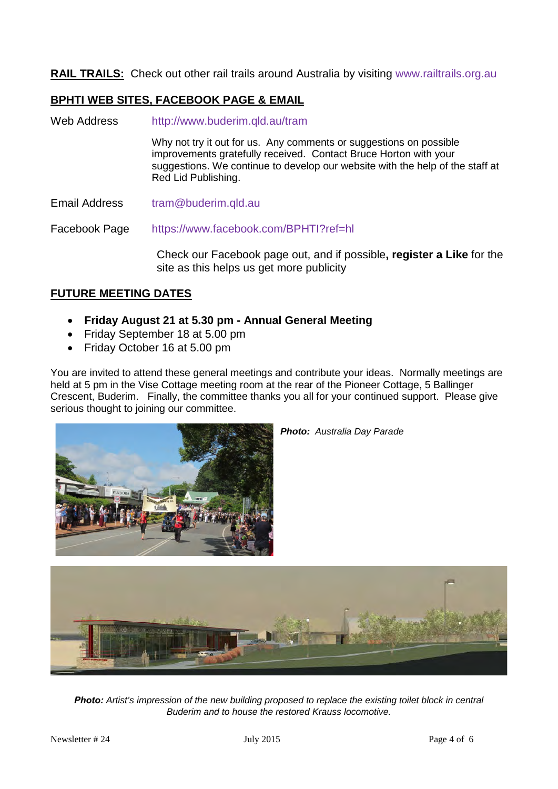**RAIL TRAILS:** Check out other rail trails around Australia by visiting [www.railtrails.org.au](http://www.railtrails.org.au/)

## **BPHTI WEB SITES, FACEBOOK PAGE & EMAIL**

- Web Address <http://www.buderim.qld.au/tram> Why not try it out for us. Any comments or suggestions on possible improvements gratefully received. Contact Bruce Horton with your suggestions. We continue to develop our website with the help of the staff at Red Lid Publishing.
- Email Address tram@buderim.qld.au

Facebook Page <https://www.facebook.com/BPHTI?ref=hl>

Check our Facebook page out, and if possible**, register a Like** for the site as this helps us get more publicity

## **FUTURE MEETING DATES**

- **Friday August 21 at 5.30 pm - Annual General Meeting**
- Friday September 18 at 5.00 pm
- Friday October 16 at 5.00 pm

You are invited to attend these general meetings and contribute your ideas. Normally meetings are held at 5 pm in the Vise Cottage meeting room at the rear of the Pioneer Cottage, 5 Ballinger Crescent, Buderim. Finally, the committee thanks you all for your continued support. Please give serious thought to joining our committee.



*Photo: Australia Day Parade*



*Photo: Artist's impression of the new building proposed to replace the existing toilet block in central Buderim and to house the restored Krauss locomotive.*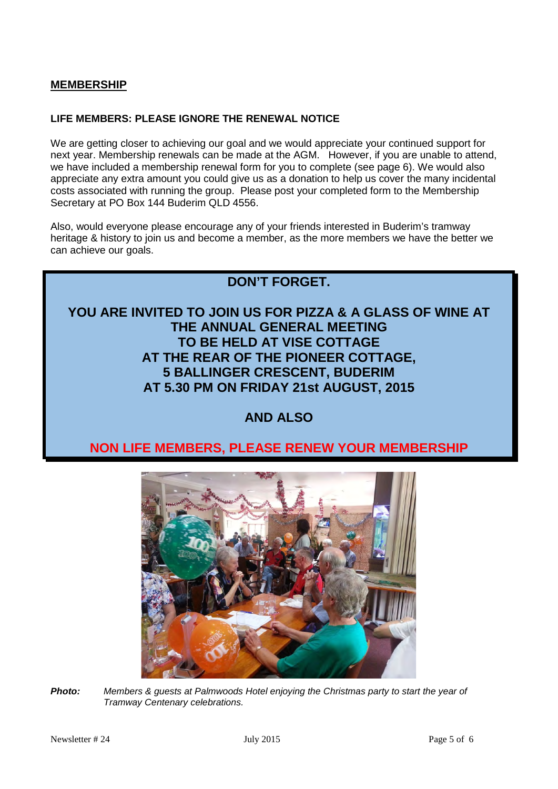#### **MEMBERSHIP**

#### **LIFE MEMBERS: PLEASE IGNORE THE RENEWAL NOTICE**

We are getting closer to achieving our goal and we would appreciate your continued support for next year. Membership renewals can be made at the AGM. However, if you are unable to attend, we have included a membership renewal form for you to complete (see page 6). We would also appreciate any extra amount you could give us as a donation to help us cover the many incidental costs associated with running the group. Please post your completed form to the Membership Secretary at PO Box 144 Buderim QLD 4556.

Also, would everyone please encourage any of your friends interested in Buderim's tramway heritage & history to join us and become a member, as the more members we have the better we can achieve our goals.



# **AND ALSO**

# **NON LIFE MEMBERS, PLEASE RENEW YOUR MEMBERSHIP**



*Photo: Members & guests at Palmwoods Hotel enjoying the Christmas party to start the year of Tramway Centenary celebrations.*